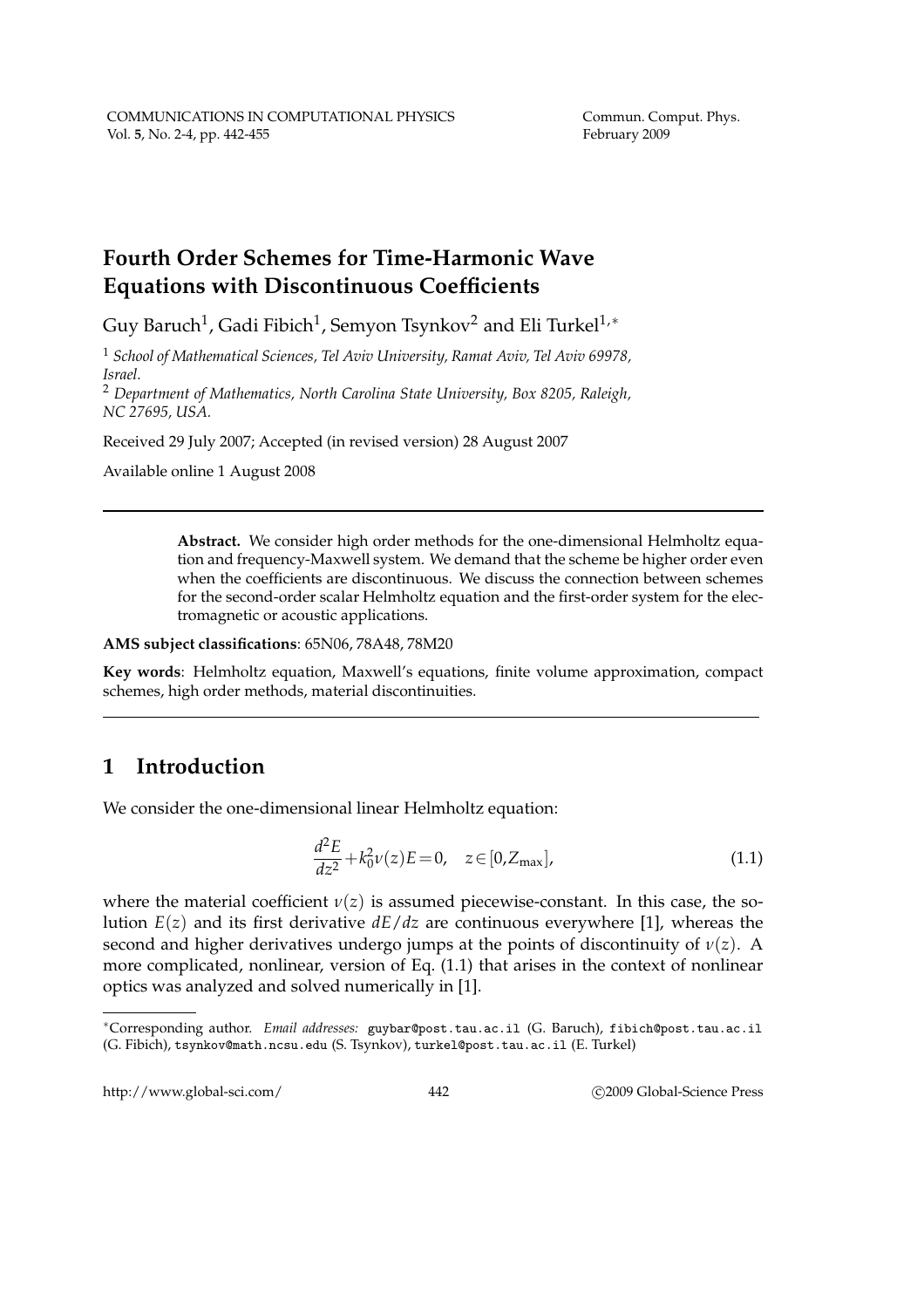# **Fourth Order Schemes for Time-Harmonic Wave Equations with Discontinuous Coefficients**

Guy Baruch $^1$ , Gadi Fibich $^1$ , Semyon Tsynkov $^2$  and Eli Turkel $^{1,\ast}$ 

<sup>1</sup> *School of Mathematical Sciences, Tel Aviv University, Ramat Aviv, Tel Aviv 69978, Israel.*

<sup>2</sup> *Department of Mathematics, North Carolina State University, Box 8205, Raleigh, NC 27695, USA.*

Received 29 July 2007; Accepted (in revised version) 28 August 2007

Available online 1 August 2008

**Abstract.** We consider high order methods for the one-dimensional Helmholtz equation and frequency-Maxwell system. We demand that the scheme be higher order even when the coefficients are discontinuous. We discuss the connection between schemes for the second-order scalar Helmholtz equation and the first-order system for the electromagnetic or acoustic applications.

**AMS subject classifications**: 65N06, 78A48, 78M20

**Key words**: Helmholtz equation, Maxwell's equations, finite volume approximation, compact schemes, high order methods, material discontinuities.

# **1 Introduction**

We consider the one-dimensional linear Helmholtz equation:

$$
\frac{d^2E}{dz^2} + k_0^2 \nu(z)E = 0, \quad z \in [0, Z_{\text{max}}],
$$
\n(1.1)

where the material coefficient  $v(z)$  is assumed piecewise-constant. In this case, the solution *E*(*z*) and its first derivative *dE*/*dz* are continuous everywhere [1], whereas the second and higher derivatives undergo jumps at the points of discontinuity of  $v(z)$ . A more complicated, nonlinear, version of Eq. (1.1) that arises in the context of nonlinear optics was analyzed and solved numerically in [1].

http://www.global-sci.com/ 442 c 2009 Global-Science Press

<sup>∗</sup>Corresponding author. *Email addresses:* guybar@post.tau.ac.il (G. Baruch), fibich@post.tau.ac.il (G. Fibich), tsynkov@math.ncsu.edu (S. Tsynkov), turkel@post.tau.ac.il (E. Turkel)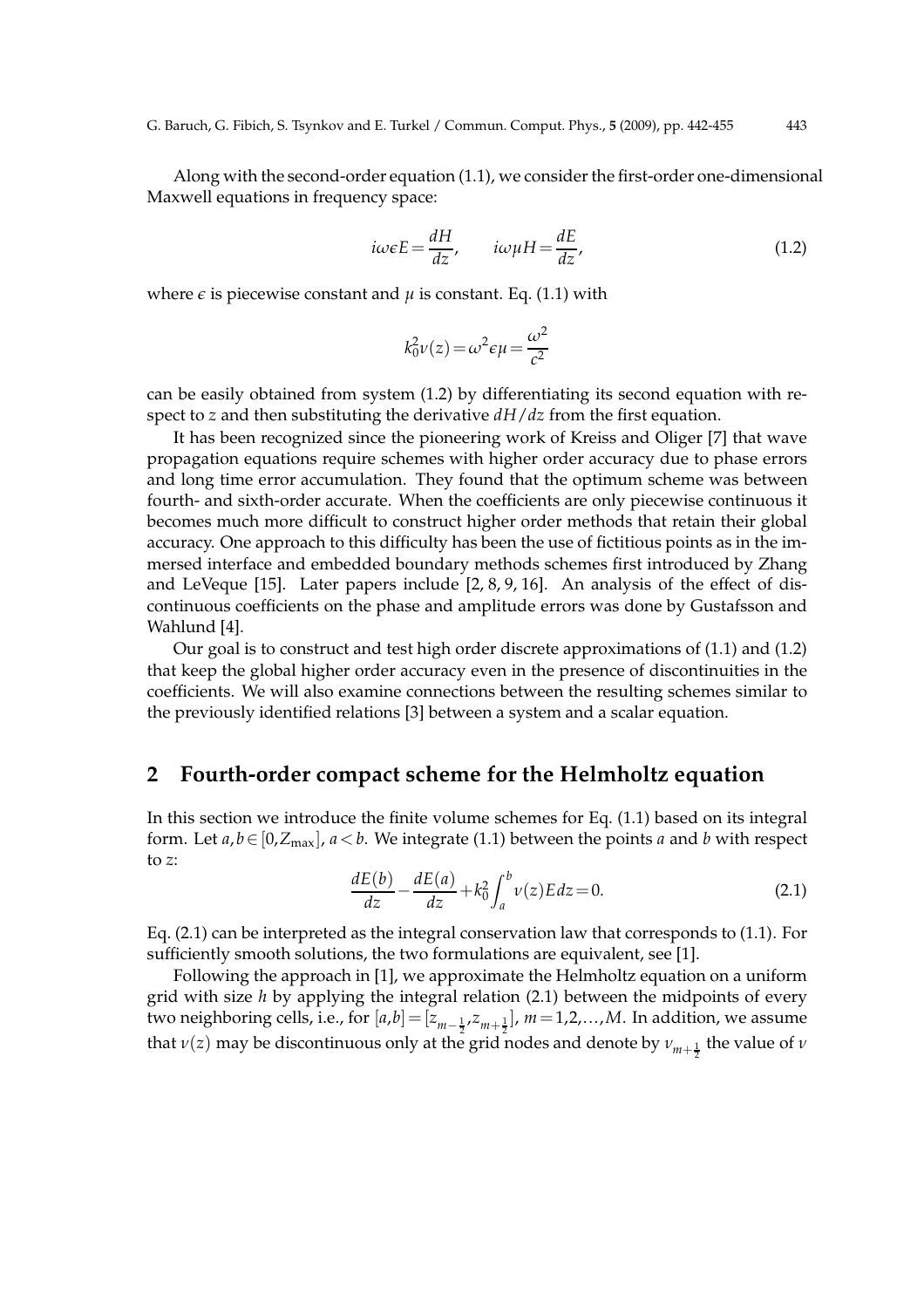Along with the second-order equation (1.1), we consider the first-order one-dimensional Maxwell equations in frequency space:

$$
i\omega \epsilon E = \frac{dH}{dz}, \qquad i\omega \mu H = \frac{dE}{dz}, \tag{1.2}
$$

where  $\epsilon$  is piecewise constant and  $\mu$  is constant. Eq. (1.1) with

$$
k_0^2 \nu(z) = \omega^2 \epsilon \mu = \frac{\omega^2}{c^2}
$$

can be easily obtained from system (1.2) by differentiating its second equation with respect to *z* and then substituting the derivative *dH*/*dz* from the first equation.

It has been recognized since the pioneering work of Kreiss and Oliger [7] that wave propagation equations require schemes with higher order accuracy due to phase errors and long time error accumulation. They found that the optimum scheme was between fourth- and sixth-order accurate. When the coefficients are only piecewise continuous it becomes much more difficult to construct higher order methods that retain their global accuracy. One approach to this difficulty has been the use of fictitious points as in the immersed interface and embedded boundary methods schemes first introduced by Zhang and LeVeque [15]. Later papers include [2, 8, 9, 16]. An analysis of the effect of discontinuous coefficients on the phase and amplitude errors was done by Gustafsson and Wahlund [4].

Our goal is to construct and test high order discrete approximations of (1.1) and (1.2) that keep the global higher order accuracy even in the presence of discontinuities in the coefficients. We will also examine connections between the resulting schemes similar to the previously identified relations [3] between a system and a scalar equation.

# **2 Fourth-order compact scheme for the Helmholtz equation**

In this section we introduce the finite volume schemes for Eq. (1.1) based on its integral form. Let  $a, b \in [0, Z_{\text{max}}]$ ,  $a < b$ . We integrate (1.1) between the points *a* and *b* with respect to *z*:

$$
\frac{dE(b)}{dz} - \frac{dE(a)}{dz} + k_0^2 \int_a^b v(z)E dz = 0.
$$
\n(2.1)

Eq. (2.1) can be interpreted as the integral conservation law that corresponds to (1.1). For sufficiently smooth solutions, the two formulations are equivalent, see [1].

Following the approach in [1], we approximate the Helmholtz equation on a uniform grid with size *h* by applying the integral relation (2.1) between the midpoints of every two neighboring cells, i.e., for  $[a,b]\!=\![z_{m-\frac{1}{2}},z_{m+\frac{1}{2}}]$ ,  $m\!=\!1,2,\!...,M$ . In addition, we assume that  $v(z)$  may be discontinuous only at the grid nodes and denote by  $v_{m+\frac{1}{2}}$  the value of *v*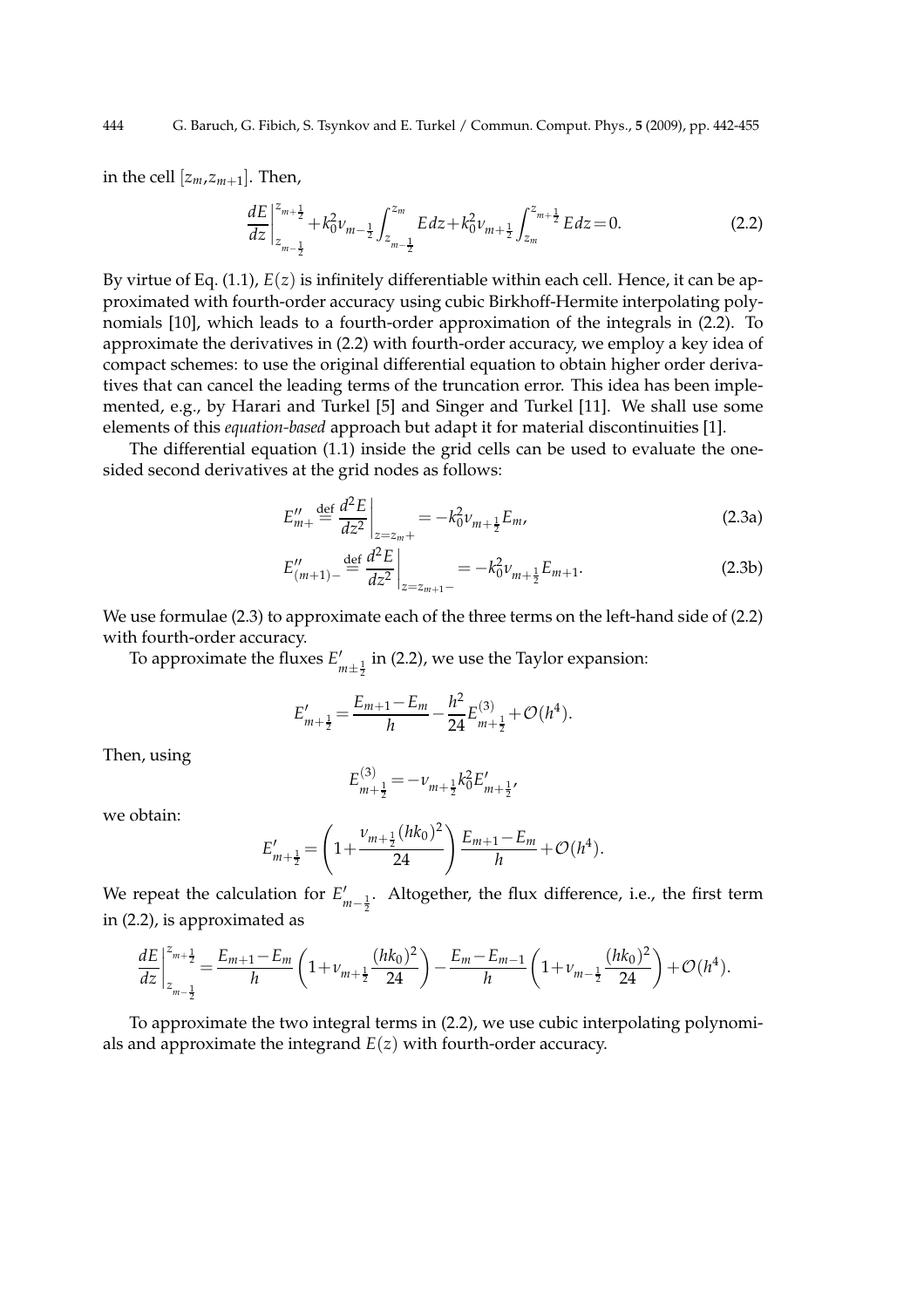in the cell  $[z_m, z_{m+1}]$ . Then,

$$
\frac{dE}{dz}\Big|_{z_{m-\frac{1}{2}}}^{z_{m+\frac{1}{2}}} + k_0^2 \nu_{m-\frac{1}{2}} \int_{z_{m-\frac{1}{2}}}^{z_m} E \, dz + k_0^2 \nu_{m+\frac{1}{2}} \int_{z_m}^{z_{m+\frac{1}{2}}} E \, dz = 0. \tag{2.2}
$$

By virtue of Eq.  $(1.1)$ ,  $E(z)$  is infinitely differentiable within each cell. Hence, it can be approximated with fourth-order accuracy using cubic Birkhoff-Hermite interpolating polynomials [10], which leads to a fourth-order approximation of the integrals in (2.2). To approximate the derivatives in (2.2) with fourth-order accuracy, we employ a key idea of compact schemes: to use the original differential equation to obtain higher order derivatives that can cancel the leading terms of the truncation error. This idea has been implemented, e.g., by Harari and Turkel [5] and Singer and Turkel [11]. We shall use some elements of this *equation-based* approach but adapt it for material discontinuities [1].

The differential equation (1.1) inside the grid cells can be used to evaluate the onesided second derivatives at the grid nodes as follows:

$$
E_{m+}'' \stackrel{\text{def}}{=} \frac{d^2 E}{dz^2} \bigg|_{z=z_m+} = -k_0^2 \nu_{m+\frac{1}{2}} E_m,\tag{2.3a}
$$

$$
E''_{(m+1)-} \stackrel{\text{def}}{=} \frac{d^2 E}{dz^2}\bigg|_{z=z_{m+1}-} = -k_0^2 \nu_{m+\frac{1}{2}} E_{m+1}.
$$
 (2.3b)

We use formulae (2.3) to approximate each of the three terms on the left-hand side of (2.2) with fourth-order accuracy.

To approximate the fluxes  $E'_{m \pm \frac{1}{2}}$  in (2.2), we use the Taylor expansion:

$$
E'_{m+\frac{1}{2}} = \frac{E_{m+1} - E_m}{h} - \frac{h^2}{24} E_{m+\frac{1}{2}}^{(3)} + \mathcal{O}(h^4).
$$

Then, using

$$
E_{m+\frac{1}{2}}^{(3)} = -\nu_{m+\frac{1}{2}}k_0^2 E'_{m+\frac{1}{2}},
$$

we obtain:

$$
E'_{m+\frac{1}{2}} = \left(1 + \frac{\nu_{m+\frac{1}{2}}(hk_0)^2}{24}\right) \frac{E_{m+1} - E_m}{h} + \mathcal{O}(h^4).
$$

We repeat the calculation for  $E'_{m-\frac{1}{2}}$ . Altogether, the flux difference, i.e., the first term in (2.2), is approximated as

$$
\frac{dE}{dz}\Big|_{z_{m-\frac{1}{2}}}^{z_{m+\frac{1}{2}}} = \frac{E_{m+1} - E_m}{h} \left(1 + \nu_{m+\frac{1}{2}} \frac{(hk_0)^2}{24}\right) - \frac{E_m - E_{m-1}}{h} \left(1 + \nu_{m-\frac{1}{2}} \frac{(hk_0)^2}{24}\right) + \mathcal{O}(h^4).
$$

To approximate the two integral terms in (2.2), we use cubic interpolating polynomials and approximate the integrand *E*(*z*) with fourth-order accuracy.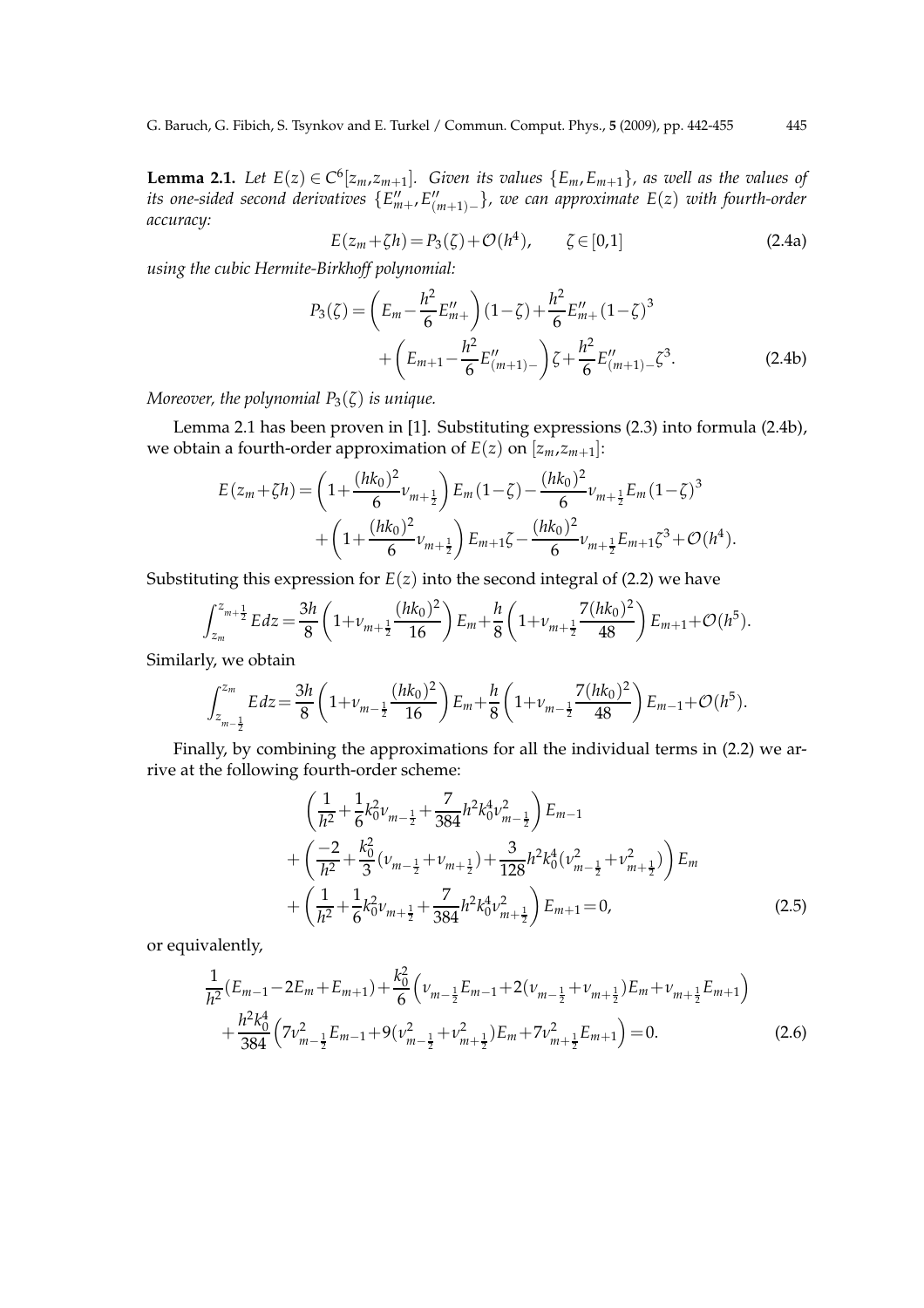**Lemma 2.1.** Let  $E(z) \in C^6[z_m,z_{m+1}]$ . Given its values  $\{E_m,E_{m+1}\}$ , as well as the values of its one-sided second derivatives  $\{E''_{m+}$  , $E''_{(n+1)}$ (*m*+1)− }*, we can approximate E*(*z*) *with fourth-order accuracy:*

$$
E(z_m + \zeta h) = P_3(\zeta) + \mathcal{O}(h^4), \qquad \zeta \in [0, 1]
$$
 (2.4a)

*using the cubic Hermite-Birkhoff polynomial:*

$$
P_3(\zeta) = \left(E_m - \frac{h^2}{6} E_{m+}''\right) (1 - \zeta) + \frac{h^2}{6} E_{m+}'' (1 - \zeta)^3 + \left(E_{m+1} - \frac{h^2}{6} E_{(m+1)-}''\right) \zeta + \frac{h^2}{6} E_{(m+1)-}''\zeta^3.
$$
 (2.4b)

*Moreover, the polynomial*  $P_3(\zeta)$  *is unique.* 

Lemma 2.1 has been proven in [1]. Substituting expressions (2.3) into formula (2.4b), we obtain a fourth-order approximation of  $E(z)$  on  $[z_m, z_{m+1}]$ :

$$
E(z_m + \zeta h) = \left(1 + \frac{(hk_0)^2}{6}v_{m + \frac{1}{2}}\right)E_m(1 - \zeta) - \frac{(hk_0)^2}{6}v_{m + \frac{1}{2}}E_m(1 - \zeta)^3
$$
  
+  $\left(1 + \frac{(hk_0)^2}{6}v_{m + \frac{1}{2}}\right)E_{m + 1}\zeta - \frac{(hk_0)^2}{6}v_{m + \frac{1}{2}}E_{m + 1}\zeta^3 + \mathcal{O}(h^4).$ 

Substituting this expression for  $E(z)$  into the second integral of (2.2) we have

$$
\int_{z_m}^{z_{m+\frac{1}{2}}} Edz = \frac{3h}{8} \left( 1 + \nu_{m+\frac{1}{2}} \frac{(hk_0)^2}{16} \right) E_m + \frac{h}{8} \left( 1 + \nu_{m+\frac{1}{2}} \frac{7(hk_0)^2}{48} \right) E_{m+1} + \mathcal{O}(h^5).
$$

Similarly, we obtain

$$
\int_{z_{m-\frac{1}{2}}}^{z_m} Edz = \frac{3h}{8} \left( 1 + \nu_{m-\frac{1}{2}} \frac{(hk_0)^2}{16} \right) E_m + \frac{h}{8} \left( 1 + \nu_{m-\frac{1}{2}} \frac{7(hk_0)^2}{48} \right) E_{m-1} + \mathcal{O}(h^5).
$$

Finally, by combining the approximations for all the individual terms in (2.2) we arrive at the following fourth-order scheme:

$$
\left(\frac{1}{h^2} + \frac{1}{6}k_0^2v_{m-\frac{1}{2}} + \frac{7}{384}h^2k_0^4v_{m-\frac{1}{2}}^2\right)E_{m-1}
$$
\n
$$
+\left(\frac{-2}{h^2} + \frac{k_0^2}{3}(v_{m-\frac{1}{2}} + v_{m+\frac{1}{2}}) + \frac{3}{128}h^2k_0^4(v_{m-\frac{1}{2}}^2 + v_{m+\frac{1}{2}}^2)\right)E_m
$$
\n
$$
+\left(\frac{1}{h^2} + \frac{1}{6}k_0^2v_{m+\frac{1}{2}} + \frac{7}{384}h^2k_0^4v_{m+\frac{1}{2}}^2\right)E_{m+1} = 0,
$$
\n(2.5)

or equivalently,

$$
\frac{1}{h^2}(E_{m-1} - 2E_m + E_{m+1}) + \frac{k_0^2}{6} \left( \nu_{m-\frac{1}{2}} E_{m-1} + 2(\nu_{m-\frac{1}{2}} + \nu_{m+\frac{1}{2}}) E_m + \nu_{m+\frac{1}{2}} E_{m+1} \right) \n+ \frac{h^2 k_0^4}{384} \left( 7\nu_{m-\frac{1}{2}}^2 E_{m-1} + 9(\nu_{m-\frac{1}{2}}^2 + \nu_{m+\frac{1}{2}}^2) E_m + 7\nu_{m+\frac{1}{2}}^2 E_{m+1} \right) = 0.
$$
\n(2.6)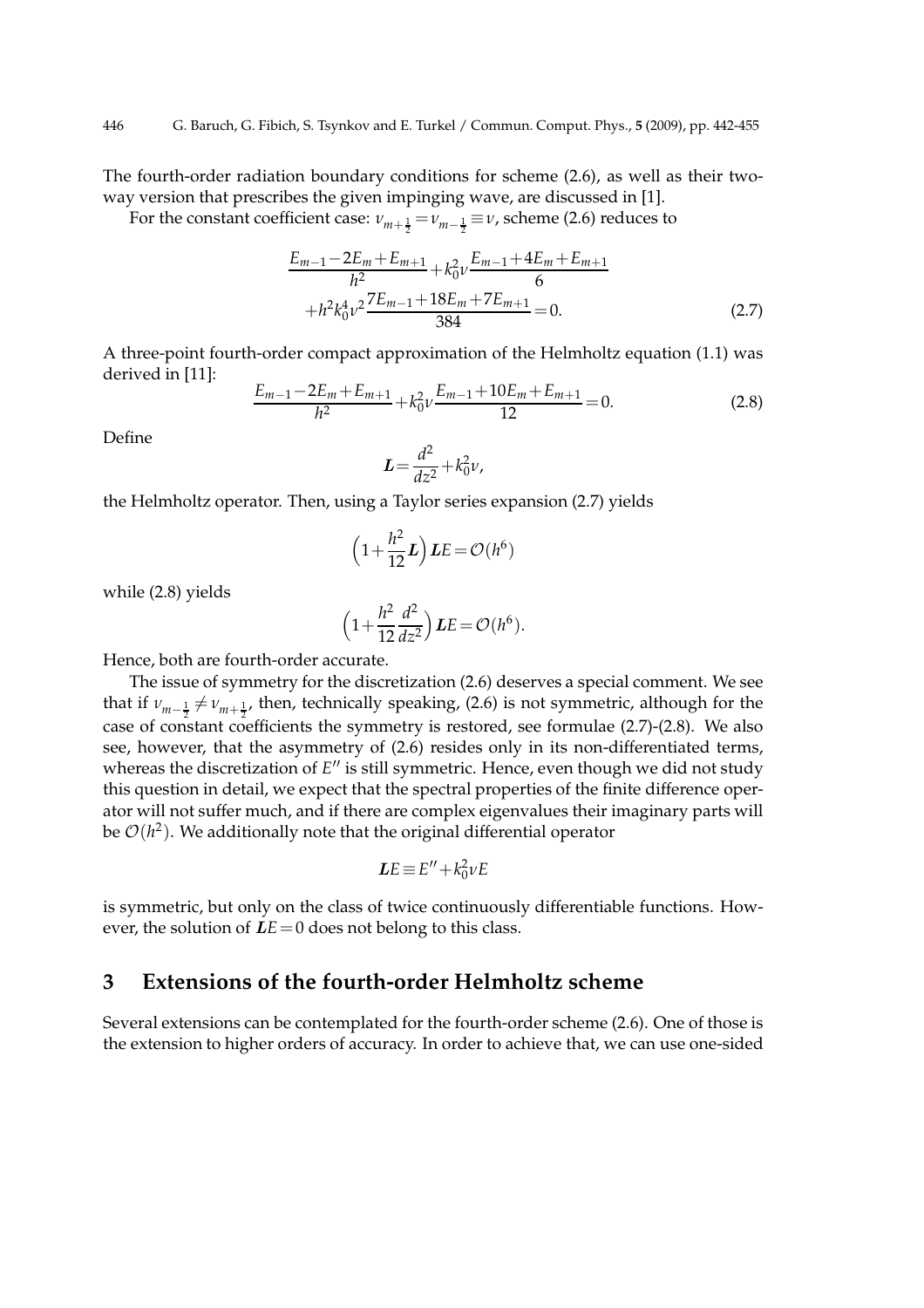The fourth-order radiation boundary conditions for scheme (2.6), as well as their twoway version that prescribes the given impinging wave, are discussed in [1].

For the constant coefficient case:  $\nu_{m+\frac{1}{2}} = \nu_{m-\frac{1}{2}} \equiv \nu$ , scheme (2.6) reduces to

$$
\frac{E_{m-1} - 2E_m + E_{m+1}}{h^2} + k_0^2 \nu \frac{E_{m-1} + 4E_m + E_{m+1}}{6}
$$
  
+h<sup>2</sup>k<sub>0</sub><sup>4</sup> v<sup>2</sup>  $\frac{7E_{m-1} + 18E_m + 7E_{m+1}}{384} = 0.$  (2.7)

A three-point fourth-order compact approximation of the Helmholtz equation (1.1) was derived in [11]:

$$
\frac{E_{m-1} - 2E_m + E_{m+1}}{h^2} + k_0^2 \nu \frac{E_{m-1} + 10E_m + E_{m+1}}{12} = 0.
$$
 (2.8)

Define

$$
L=\frac{d^2}{dz^2}+k_0^2\nu,
$$

the Helmholtz operator. Then, using a Taylor series expansion (2.7) yields

$$
\left(1+\frac{h^2}{12}L\right)LE = \mathcal{O}(h^6)
$$

while (2.8) yields

$$
\left(1+\frac{h^2}{12}\frac{d^2}{dz^2}\right)LE=\mathcal{O}(h^6).
$$

Hence, both are fourth-order accurate.

The issue of symmetry for the discretization (2.6) deserves a special comment. We see that if  $\nu_{m-\frac{1}{2}} \neq \nu_{m+\frac{1}{2}}$ , then, technically speaking, (2.6) is not symmetric, although for the case of constant coefficients the symmetry is restored, see formulae (2.7)-(2.8). We also see, however, that the asymmetry of (2.6) resides only in its non-differentiated terms, whereas the discretization of E<sup>"</sup> is still symmetric. Hence, even though we did not study this question in detail, we expect that the spectral properties of the finite difference operator will not suffer much, and if there are complex eigenvalues their imaginary parts will be  $\mathcal{O}(h^2)$ . We additionally note that the original differential operator

$$
LE \equiv E'' + k_0^2 vE
$$

is symmetric, but only on the class of twice continuously differentiable functions. However, the solution of  $LE = 0$  does not belong to this class.

# **3 Extensions of the fourth-order Helmholtz scheme**

Several extensions can be contemplated for the fourth-order scheme (2.6). One of those is the extension to higher orders of accuracy. In order to achieve that, we can use one-sided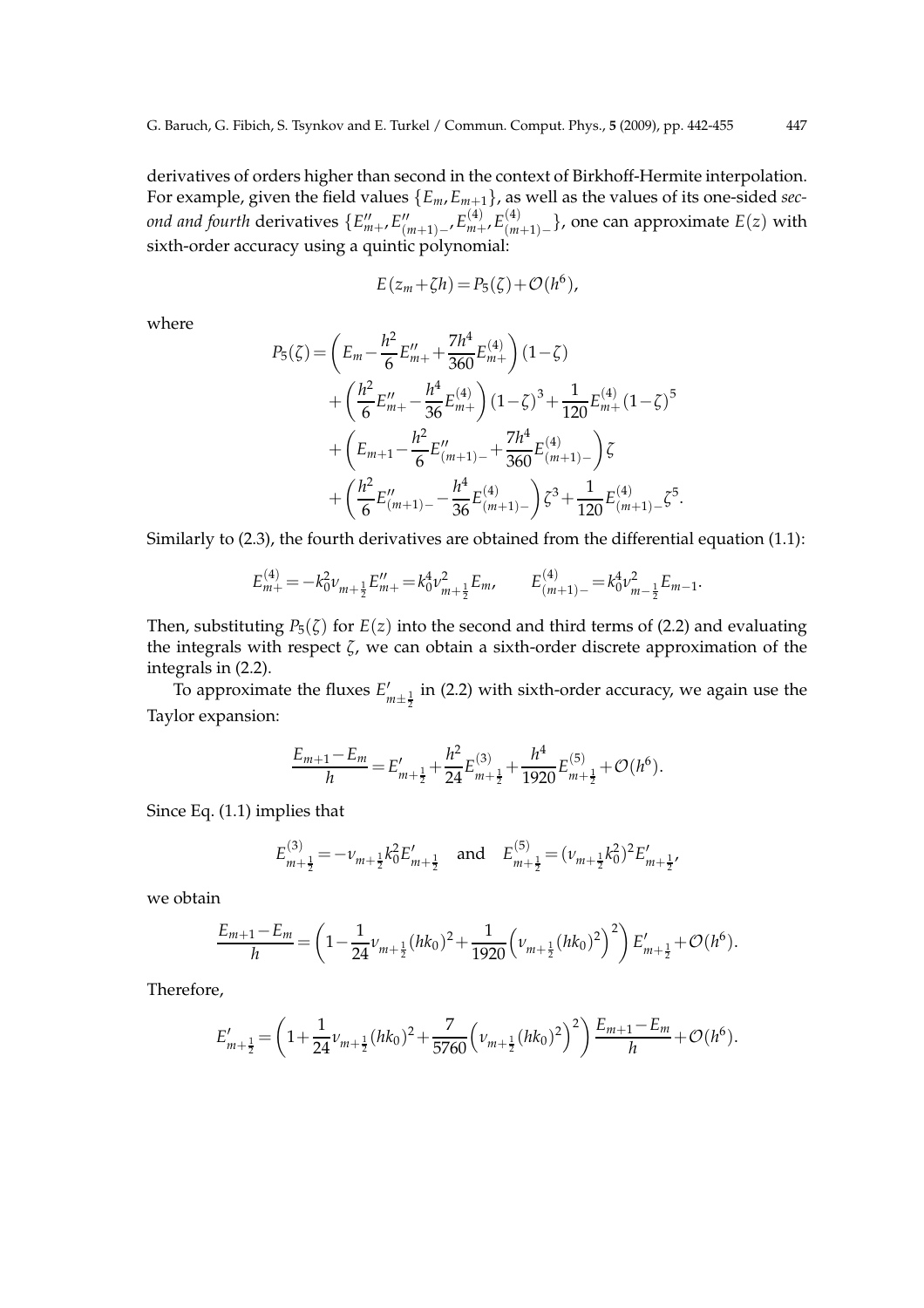derivatives of orders higher than second in the context of Birkhoff-Hermite interpolation. For example, given the field values  $\{E_m, E_{m+1}\}\$ , as well as the values of its one-sided *second and fourth derivatives*  $\{E''_{m+} , E''_{(m+1)-} , E^{(4)}_{m+} , E^{(4)}_{(m+1)} \}$ (*m*+1)− }, one can approximate *E*(*z*) with sixth-order accuracy using a quintic polynomial:

$$
E(z_m+\zeta h) = P_5(\zeta) + \mathcal{O}(h^6),
$$

where

$$
P_5(\zeta) = \left(E_m - \frac{h^2}{6} E_{m+}'' + \frac{7h^4}{360} E_{m+}^{(4)}\right) (1 - \zeta)
$$
  
+ 
$$
\left(\frac{h^2}{6} E_{m+}'' - \frac{h^4}{36} E_{m+}^{(4)}\right) (1 - \zeta)^3 + \frac{1}{120} E_{m+}^{(4)} (1 - \zeta)^5
$$
  
+ 
$$
\left(E_{m+1} - \frac{h^2}{6} E_{(m+1)-}'' + \frac{7h^4}{360} E_{(m+1)-}^{(4)}\right) \zeta
$$
  
+ 
$$
\left(\frac{h^2}{6} E_{(m+1)-}'' - \frac{h^4}{36} E_{(m+1)-}^{(4)}\right) \zeta^3 + \frac{1}{120} E_{(m+1)-}^{(4)} \zeta^5.
$$

Similarly to (2.3), the fourth derivatives are obtained from the differential equation (1.1):

$$
E_{m+}^{(4)} = -k_0^2 \nu_{m+\frac{1}{2}} E_{m+}'' = k_0^4 \nu_{m+\frac{1}{2}}^2 E_m, \qquad E_{(m+1)-}^{(4)} = k_0^4 \nu_{m-\frac{1}{2}}^2 E_{m-1}.
$$

Then, substituting  $P_5(\zeta)$  for  $E(z)$  into the second and third terms of (2.2) and evaluating the integrals with respect *ζ*, we can obtain a sixth-order discrete approximation of the integrals in (2.2).

To approximate the fluxes  $E'_{m \pm \frac{1}{2}}$  in (2.2) with sixth-order accuracy, we again use the Taylor expansion:

$$
\frac{E_{m+1} - E_m}{h} = E'_{m+\frac{1}{2}} + \frac{h^2}{24} E^{(3)}_{m+\frac{1}{2}} + \frac{h^4}{1920} E^{(5)}_{m+\frac{1}{2}} + \mathcal{O}(h^6).
$$

Since Eq. (1.1) implies that

$$
E_{m+\frac{1}{2}}^{(3)} = -\nu_{m+\frac{1}{2}}k_0^2 E'_{m+\frac{1}{2}} \text{ and } E_{m+\frac{1}{2}}^{(5)} = (\nu_{m+\frac{1}{2}}k_0^2)^2 E'_{m+\frac{1}{2}},
$$

we obtain

$$
\frac{E_{m+1}-E_m}{h} = \left(1 - \frac{1}{24}\nu_{m+\frac{1}{2}}(hk_0)^2 + \frac{1}{1920}\left(\nu_{m+\frac{1}{2}}(hk_0)^2\right)^2\right)E'_{m+\frac{1}{2}} + \mathcal{O}(h^6).
$$

Therefore,

$$
E'_{m+\frac{1}{2}} = \left(1 + \frac{1}{24}\nu_{m+\frac{1}{2}}(hk_0)^2 + \frac{7}{5760}\left(\nu_{m+\frac{1}{2}}(hk_0)^2\right)^2\right)\frac{E_{m+1} - E_m}{h} + \mathcal{O}(h^6).
$$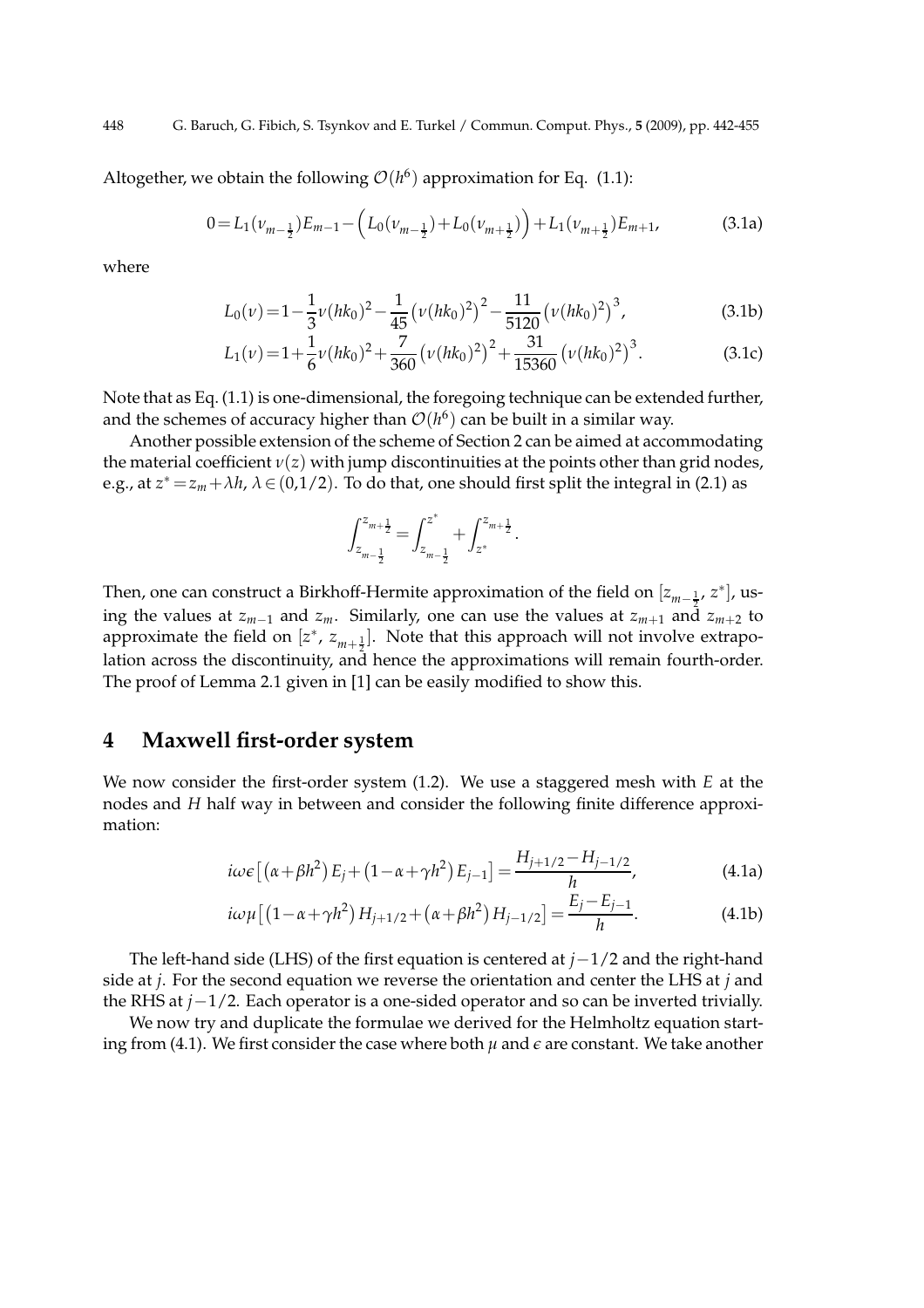Altogether, we obtain the following  $\mathcal{O}(h^6)$  approximation for Eq. (1.1):

$$
0 = L_1(\nu_{m-\frac{1}{2}})E_{m-1} - \left(L_0(\nu_{m-\frac{1}{2}}) + L_0(\nu_{m+\frac{1}{2}})\right) + L_1(\nu_{m+\frac{1}{2}})E_{m+1},
$$
\n(3.1a)

where

$$
L_0(\nu) = 1 - \frac{1}{3}\nu(hk_0)^2 - \frac{1}{45}\left(\nu(hk_0)^2\right)^2 - \frac{11}{5120}\left(\nu(hk_0)^2\right)^3,\tag{3.1b}
$$

$$
L_1(\nu) = 1 + \frac{1}{6}\nu(hk_0)^2 + \frac{7}{360}\left(\nu(hk_0)^2\right)^2 + \frac{31}{15360}\left(\nu(hk_0)^2\right)^3.
$$
 (3.1c)

Note that as Eq. (1.1) is one-dimensional, the foregoing technique can be extended further, and the schemes of accuracy higher than  $\mathcal{O}(h^6)$  can be built in a similar way.

Another possible extension of the scheme of Section 2 can be aimed at accommodating the material coefficient  $v(z)$  with jump discontinuities at the points other than grid nodes, e.g., at  $z^* = z_m + \lambda h$ ,  $\lambda \in (0,1/2)$ . To do that, one should first split the integral in (2.1) as

$$
\int_{z_{m-\frac{1}{2}}}^{z_{m+\frac{1}{2}}} = \int_{z_{m-\frac{1}{2}}}^{z^*} + \int_{z^*}^{z_{m+\frac{1}{2}}}.
$$

Then, one can construct a Birkhoff-Hermite approximation of the field on [ $z_{m-\frac{1}{2}}$ ,  $z^*$ ], using the values at  $z_{m-1}$  and  $z_m$ . Similarly, one can use the values at  $z_{m+1}$  and  $z_{m+2}$  to approximate the field on  $[z^*, z_{m+\frac{1}{2}}]$ . Note that this approach will not involve extrapolation across the discontinuity, and hence the approximations will remain fourth-order. The proof of Lemma 2.1 given in [1] can be easily modified to show this.

### **4 Maxwell first-order system**

We now consider the first-order system (1.2). We use a staggered mesh with *E* at the nodes and *H* half way in between and consider the following finite difference approximation:

$$
i\omega \epsilon [(\alpha + \beta h^2) E_j + (1 - \alpha + \gamma h^2) E_{j-1}] = \frac{H_{j+1/2} - H_{j-1/2}}{h},
$$
\n(4.1a)

$$
i\omega\mu\left[\left(1-\alpha+\gamma h^2\right)H_{j+1/2}+\left(\alpha+\beta h^2\right)H_{j-1/2}\right]=\frac{E_j-E_{j-1}}{h}.
$$
 (4.1b)

The left-hand side (LHS) of the first equation is centered at *j*−1/2 and the right-hand side at *j*. For the second equation we reverse the orientation and center the LHS at *j* and the RHS at *j*−1/2. Each operator is a one-sided operator and so can be inverted trivially.

We now try and duplicate the formulae we derived for the Helmholtz equation starting from (4.1). We first consider the case where both  $\mu$  and  $\epsilon$  are constant. We take another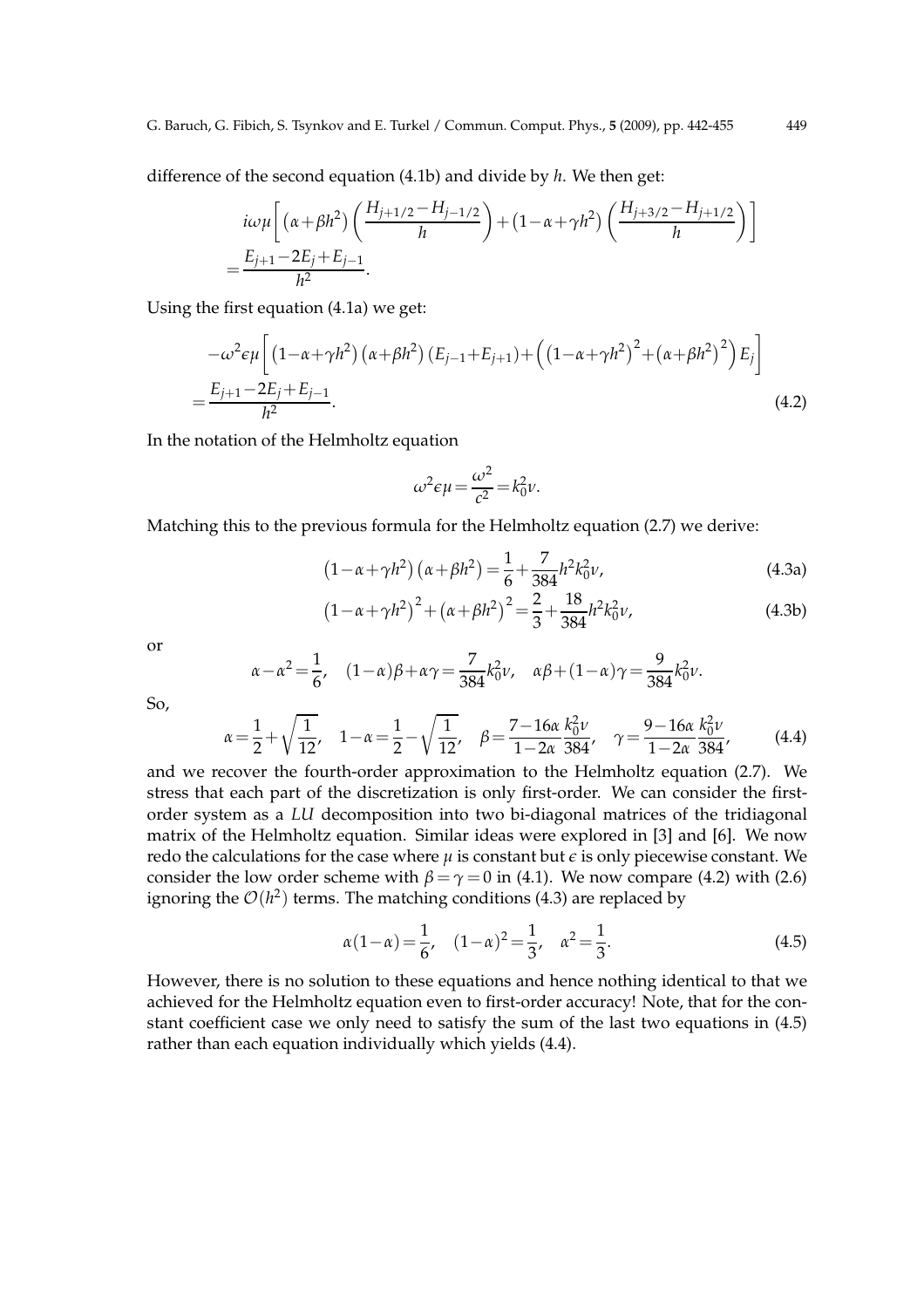difference of the second equation (4.1b) and divide by *h*. We then get:

$$
i\omega\mu\left[\left(\alpha+\beta h^2\right)\left(\frac{H_{j+1/2}-H_{j-1/2}}{h}\right)+\left(1-\alpha+\gamma h^2\right)\left(\frac{H_{j+3/2}-H_{j+1/2}}{h}\right)\right]
$$
  
= 
$$
\frac{E_{j+1}-2E_j+E_{j-1}}{h^2}.
$$

Using the first equation (4.1a) we get:

$$
-\omega^2 \epsilon \mu \left[ \left( 1 - \alpha + \gamma h^2 \right) \left( \alpha + \beta h^2 \right) \left( E_{j-1} + E_{j+1} \right) + \left( \left( 1 - \alpha + \gamma h^2 \right)^2 + \left( \alpha + \beta h^2 \right)^2 \right) E_j \right] = \frac{E_{j+1} - 2E_j + E_{j-1}}{h^2}.
$$
(4.2)

In the notation of the Helmholtz equation

$$
\omega^2 \epsilon \mu = \frac{\omega^2}{c^2} = k_0^2 \nu.
$$

Matching this to the previous formula for the Helmholtz equation (2.7) we derive:

$$
(1 - \alpha + \gamma h^2) (\alpha + \beta h^2) = \frac{1}{6} + \frac{7}{384} h^2 k_0^2 \nu,
$$
 (4.3a)

$$
(1 - \alpha + \gamma h^2)^2 + (\alpha + \beta h^2)^2 = \frac{2}{3} + \frac{18}{384} h^2 k_0^2 \nu,
$$
 (4.3b)

or

$$
\alpha - \alpha^2 = \frac{1}{6}, \quad (1 - \alpha)\beta + \alpha\gamma = \frac{7}{384}k_0^2 \nu, \quad \alpha\beta + (1 - \alpha)\gamma = \frac{9}{384}k_0^2 \nu.
$$

So,

$$
\alpha = \frac{1}{2} + \sqrt{\frac{1}{12}}, \quad 1 - \alpha = \frac{1}{2} - \sqrt{\frac{1}{12}}, \quad \beta = \frac{7 - 16\alpha}{1 - 2\alpha} \frac{k_0^2 \nu}{384}, \quad \gamma = \frac{9 - 16\alpha}{1 - 2\alpha} \frac{k_0^2 \nu}{384}, \tag{4.4}
$$

and we recover the fourth-order approximation to the Helmholtz equation (2.7). We stress that each part of the discretization is only first-order. We can consider the firstorder system as a *LU* decomposition into two bi-diagonal matrices of the tridiagonal matrix of the Helmholtz equation. Similar ideas were explored in [3] and [6]. We now redo the calculations for the case where  $\mu$  is constant but  $\epsilon$  is only piecewise constant. We consider the low order scheme with  $\beta = \gamma = 0$  in (4.1). We now compare (4.2) with (2.6) ignoring the  $\mathcal{O}(h^2)$  terms. The matching conditions (4.3) are replaced by

$$
\alpha(1-\alpha) = \frac{1}{6}, \quad (1-\alpha)^2 = \frac{1}{3}, \quad \alpha^2 = \frac{1}{3}.
$$
 (4.5)

However, there is no solution to these equations and hence nothing identical to that we achieved for the Helmholtz equation even to first-order accuracy! Note, that for the constant coefficient case we only need to satisfy the sum of the last two equations in (4.5) rather than each equation individually which yields (4.4).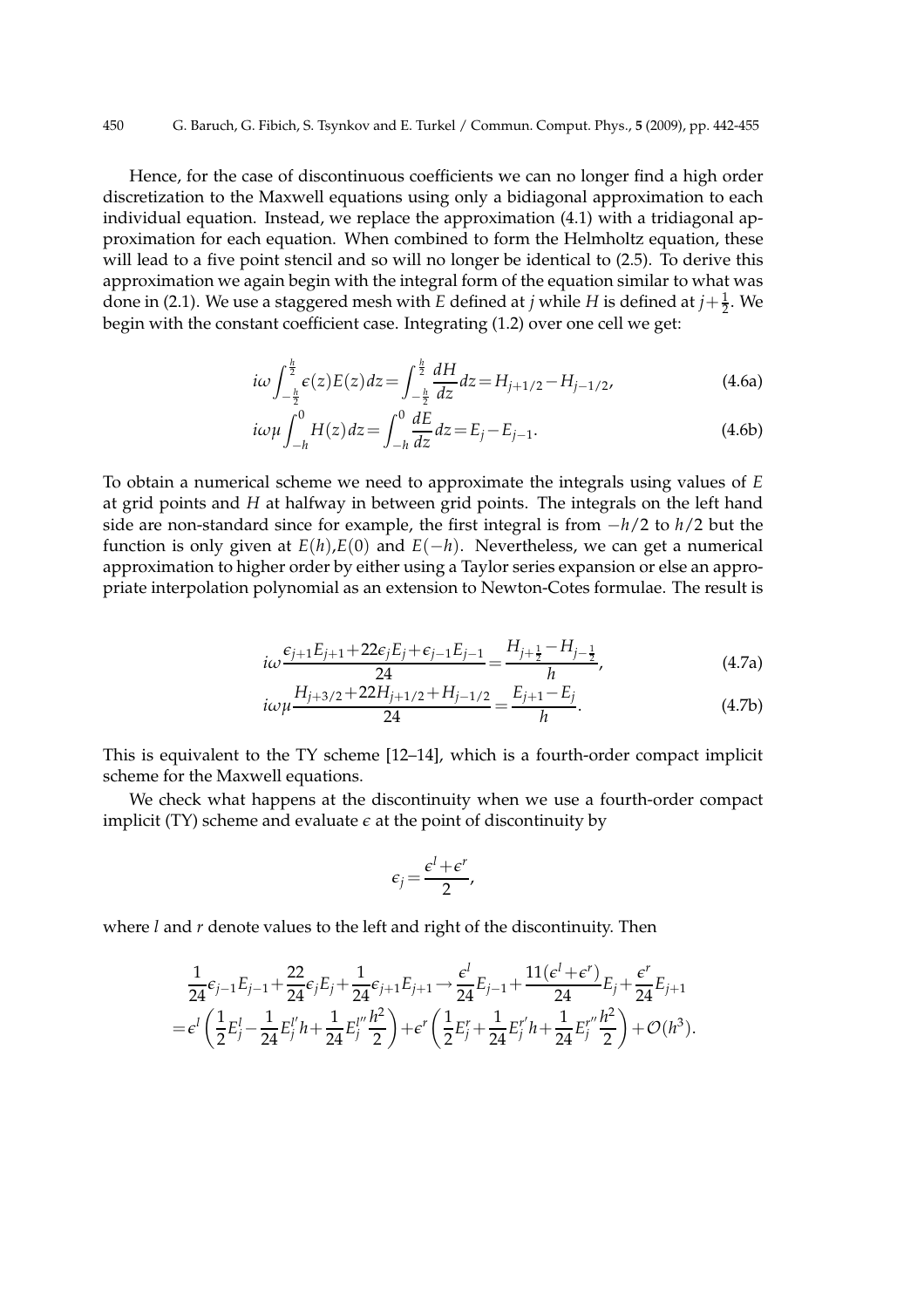#### 450 G. Baruch, G. Fibich, S. Tsynkov and E. Turkel / Commun. Comput. Phys., **5** (2009), pp. 442-455

Hence, for the case of discontinuous coefficients we can no longer find a high order discretization to the Maxwell equations using only a bidiagonal approximation to each individual equation. Instead, we replace the approximation (4.1) with a tridiagonal approximation for each equation. When combined to form the Helmholtz equation, these will lead to a five point stencil and so will no longer be identical to (2.5). To derive this approximation we again begin with the integral form of the equation similar to what was done in (2.1). We use a staggered mesh with *E* defined at *j* while *H* is defined at  $j + \frac{1}{2}$ . We begin with the constant coefficient case. Integrating (1.2) over one cell we get:

$$
i\omega \int_{-\frac{h}{2}}^{\frac{h}{2}} \epsilon(z) E(z) dz = \int_{-\frac{h}{2}}^{\frac{h}{2}} \frac{dH}{dz} dz = H_{j+1/2} - H_{j-1/2},
$$
(4.6a)

$$
i\omega\mu \int_{-h}^{0} H(z) dz = \int_{-h}^{0} \frac{dE}{dz} dz = E_j - E_{j-1}.
$$
 (4.6b)

To obtain a numerical scheme we need to approximate the integrals using values of *E* at grid points and *H* at halfway in between grid points. The integrals on the left hand side are non-standard since for example, the first integral is from −*h*/2 to *h*/2 but the function is only given at  $E(h), E(0)$  and  $E(-h)$ . Nevertheless, we can get a numerical approximation to higher order by either using a Taylor series expansion or else an appropriate interpolation polynomial as an extension to Newton-Cotes formulae. The result is

$$
i\omega \frac{\epsilon_{j+1}E_{j+1} + 22\epsilon_j E_j + \epsilon_{j-1}E_{j-1}}{24} = \frac{H_{j+\frac{1}{2}} - H_{j-\frac{1}{2}}}{h},\tag{4.7a}
$$

$$
i\omega\mu \frac{H_{j+3/2} + 22H_{j+1/2} + H_{j-1/2}}{24} = \frac{E_{j+1} - E_j}{h}.
$$
 (4.7b)

This is equivalent to the TY scheme [12–14], which is a fourth-order compact implicit scheme for the Maxwell equations.

We check what happens at the discontinuity when we use a fourth-order compact implicit (TY) scheme and evaluate  $\epsilon$  at the point of discontinuity by

$$
\epsilon_j = \frac{\epsilon^l + \epsilon^r}{2},
$$

where *l* and *r* denote values to the left and right of the discontinuity. Then

$$
\frac{1}{24}\epsilon_{j-1}E_{j-1} + \frac{22}{24}\epsilon_j E_j + \frac{1}{24}\epsilon_{j+1}E_{j+1} \rightarrow \frac{\epsilon^l}{24}E_{j-1} + \frac{11(\epsilon^l + \epsilon^r)}{24}E_j + \frac{\epsilon^r}{24}E_{j+1}
$$
  
=  $\epsilon^l \left(\frac{1}{2}E_j^l - \frac{1}{24}E_j^{l'}h + \frac{1}{24}E_j^{l''}\frac{h^2}{2}\right) + \epsilon^r \left(\frac{1}{2}E_j^r + \frac{1}{24}E_j^{r'}h + \frac{1}{24}E_j^{r''}\frac{h^2}{2}\right) + \mathcal{O}(h^3).$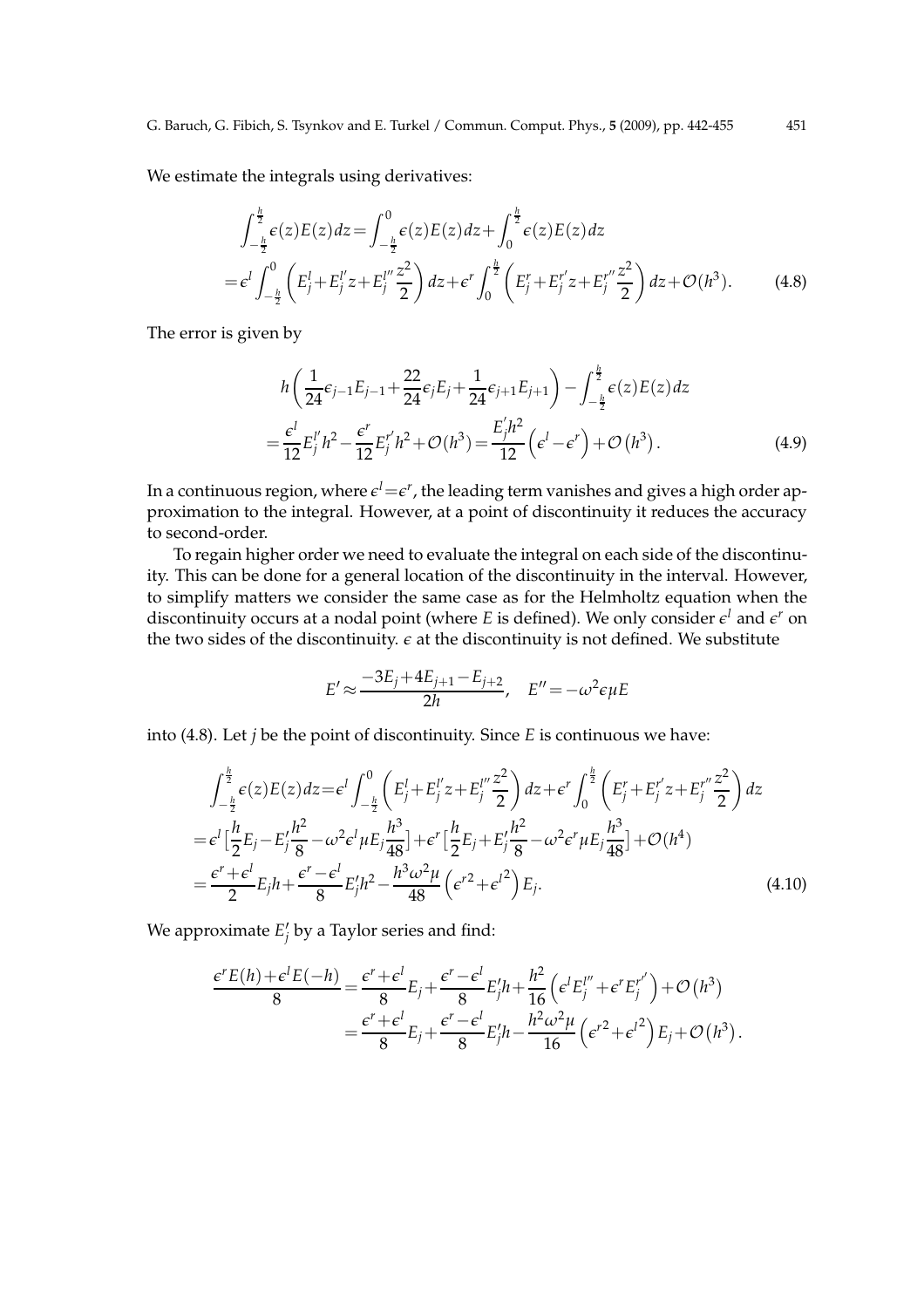We estimate the integrals using derivatives:

$$
\int_{-\frac{h}{2}}^{\frac{h}{2}} \epsilon(z) E(z) dz = \int_{-\frac{h}{2}}^{0} \epsilon(z) E(z) dz + \int_{0}^{\frac{h}{2}} \epsilon(z) E(z) dz
$$
  
=  $\epsilon^{l} \int_{-\frac{h}{2}}^{0} \left( E_{j}^{l} + E_{j}^{l'} z + E_{j}^{l''} \frac{z^{2}}{2} \right) dz + \epsilon^{r} \int_{0}^{\frac{h}{2}} \left( E_{j}^{r} + E_{j}^{r'} z + E_{j}^{r''} \frac{z^{2}}{2} \right) dz + \mathcal{O}(h^{3}).$  (4.8)

The error is given by

$$
h\left(\frac{1}{24}\epsilon_{j-1}E_{j-1} + \frac{22}{24}\epsilon_j E_j + \frac{1}{24}\epsilon_{j+1}E_{j+1}\right) - \int_{-\frac{h}{2}}^{\frac{h}{2}} \epsilon(z)E(z) dz
$$
  
= 
$$
\frac{\epsilon^l}{12}E_j^{l'}h^2 - \frac{\epsilon^r}{12}E_j^{r'}h^2 + \mathcal{O}(h^3) = \frac{E_j^{'}}{12}\left(\epsilon^l - \epsilon^r\right) + \mathcal{O}(h^3).
$$
 (4.9)

In a continuous region, where  $\epsilon^l\!=\!\epsilon^r$ , the leading term vanishes and gives a high order approximation to the integral. However, at a point of discontinuity it reduces the accuracy to second-order.

To regain higher order we need to evaluate the integral on each side of the discontinuity. This can be done for a general location of the discontinuity in the interval. However, to simplify matters we consider the same case as for the Helmholtz equation when the discontinuity occurs at a nodal point (where *E* is defined). We only consider  $\epsilon^l$  and  $\epsilon^r$  on the two sides of the discontinuity.  $\epsilon$  at the discontinuity is not defined. We substitute

$$
E' \approx \frac{-3E_j + 4E_{j+1} - E_{j+2}}{2h}, \quad E'' = -\omega^2 \epsilon \mu E
$$

into (4.8). Let *j* be the point of discontinuity. Since *E* is continuous we have:

$$
\int_{-\frac{h}{2}}^{\frac{h}{2}} \epsilon(z) E(z) dz = \epsilon^{l} \int_{-\frac{h}{2}}^{0} \left( E_{j}^{l} + E_{j}^{l'} z + E_{j}^{l''} \frac{z^{2}}{2} \right) dz + \epsilon^{r} \int_{0}^{\frac{h}{2}} \left( E_{j}^{r} + E_{j}^{r'} z + E_{j}^{r''} \frac{z^{2}}{2} \right) dz
$$
  
\n
$$
= \epsilon^{l} \left[ \frac{h}{2} E_{j} - E_{j}^{\prime} \frac{h^{2}}{8} - \omega^{2} \epsilon^{l} \mu E_{j} \frac{h^{3}}{48} \right] + \epsilon^{r} \left[ \frac{h}{2} E_{j} + E_{j}^{\prime} \frac{h^{2}}{8} - \omega^{2} \epsilon^{r} \mu E_{j} \frac{h^{3}}{48} \right] + \mathcal{O}(h^{4})
$$
  
\n
$$
= \frac{\epsilon^{r} + \epsilon^{l}}{2} E_{j} h + \frac{\epsilon^{r} - \epsilon^{l}}{8} E_{j}^{\prime} h^{2} - \frac{h^{3} \omega^{2} \mu}{48} \left( \epsilon^{r^{2}} + \epsilon^{l^{2}} \right) E_{j}.
$$
\n(4.10)

We approximate  $E_j'$  by a Taylor series and find:

$$
\frac{\epsilon^{r}E(h)+\epsilon^{l}E(-h)}{8} = \frac{\epsilon^{r}+\epsilon^{l}}{8}E_{j} + \frac{\epsilon^{r}-\epsilon^{l}}{8}E'_{j}h + \frac{h^{2}}{16}\left(\epsilon^{l}E_{j}^{l''}+\epsilon^{r}E_{j}^{r''}\right) + \mathcal{O}\left(h^{3}\right) \n= \frac{\epsilon^{r}+\epsilon^{l}}{8}E_{j} + \frac{\epsilon^{r}-\epsilon^{l}}{8}E'_{j}h - \frac{h^{2}\omega^{2}\mu}{16}\left(\epsilon^{r^{2}}+\epsilon^{l^{2}}\right)E_{j} + \mathcal{O}\left(h^{3}\right).
$$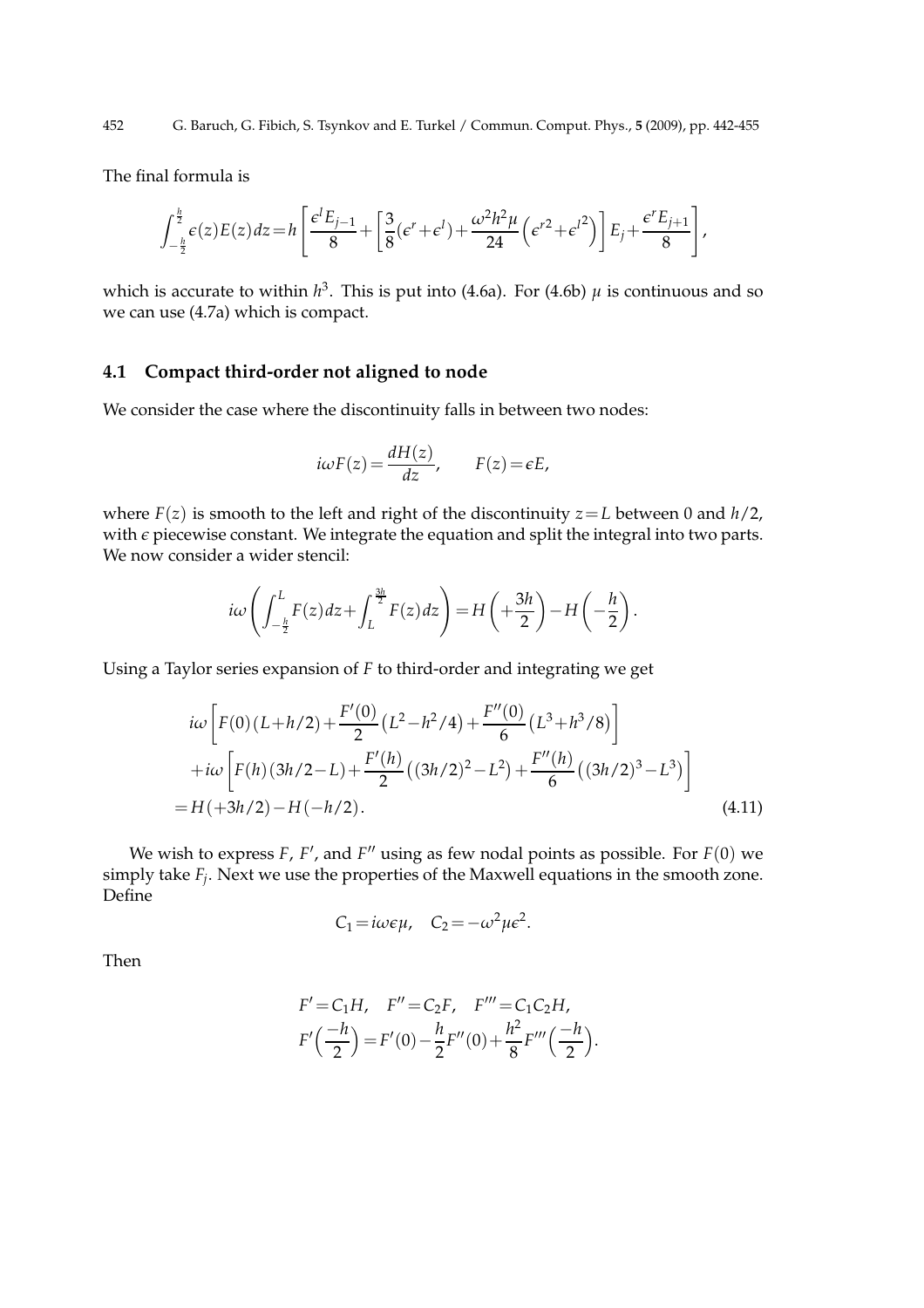The final formula is

$$
\int_{-\frac{h}{2}}^{\frac{h}{2}} \epsilon(z) E(z) dz = h \left[ \frac{\epsilon^l E_{j-1}}{8} + \left[ \frac{3}{8} (\epsilon^r + \epsilon^l) + \frac{\omega^2 h^2 \mu}{24} (\epsilon^{r2} + \epsilon^{l2}) \right] E_j + \frac{\epsilon^r E_{j+1}}{8} \right],
$$

which is accurate to within  $h^3$ . This is put into (4.6a). For (4.6b)  $\mu$  is continuous and so we can use (4.7a) which is compact.

### **4.1 Compact third-order not aligned to node**

We consider the case where the discontinuity falls in between two nodes:

$$
i\omega F(z) = \frac{dH(z)}{dz}, \qquad F(z) = \epsilon E,
$$

where  $F(z)$  is smooth to the left and right of the discontinuity  $z = L$  between 0 and  $h/2$ , with  $\epsilon$  piecewise constant. We integrate the equation and split the integral into two parts. We now consider a wider stencil:

$$
i\omega\left(\int_{-\frac{h}{2}}^{L} F(z) dz + \int_{L}^{\frac{3h}{2}} F(z) dz\right) = H\left(+\frac{3h}{2}\right) - H\left(-\frac{h}{2}\right).
$$

Using a Taylor series expansion of *F* to third-order and integrating we get

$$
i\omega \left[ F(0)(L+h/2) + \frac{F'(0)}{2} (L^2 - h^2/4) + \frac{F''(0)}{6} (L^3 + h^3/8) \right]
$$
  
+
$$
+i\omega \left[ F(h)(3h/2 - L) + \frac{F'(h)}{2} ((3h/2)^2 - L^2) + \frac{F''(h)}{6} ((3h/2)^3 - L^3) \right]
$$
  
= H(+3h/2) - H(-h/2). (4.11)

We wish to express *F*, *F'*, and *F''* using as few nodal points as possible. For *F*(0) we simply take *F<sup>j</sup>* . Next we use the properties of the Maxwell equations in the smooth zone. Define

$$
C_1 = i\omega \epsilon \mu, \quad C_2 = -\omega^2 \mu \epsilon^2.
$$

Then

$$
F' = C_1 H, \quad F'' = C_2 F, \quad F''' = C_1 C_2 H,
$$
  

$$
F'\left(\frac{-h}{2}\right) = F'(0) - \frac{h}{2} F''(0) + \frac{h^2}{8} F'''\left(\frac{-h}{2}\right).
$$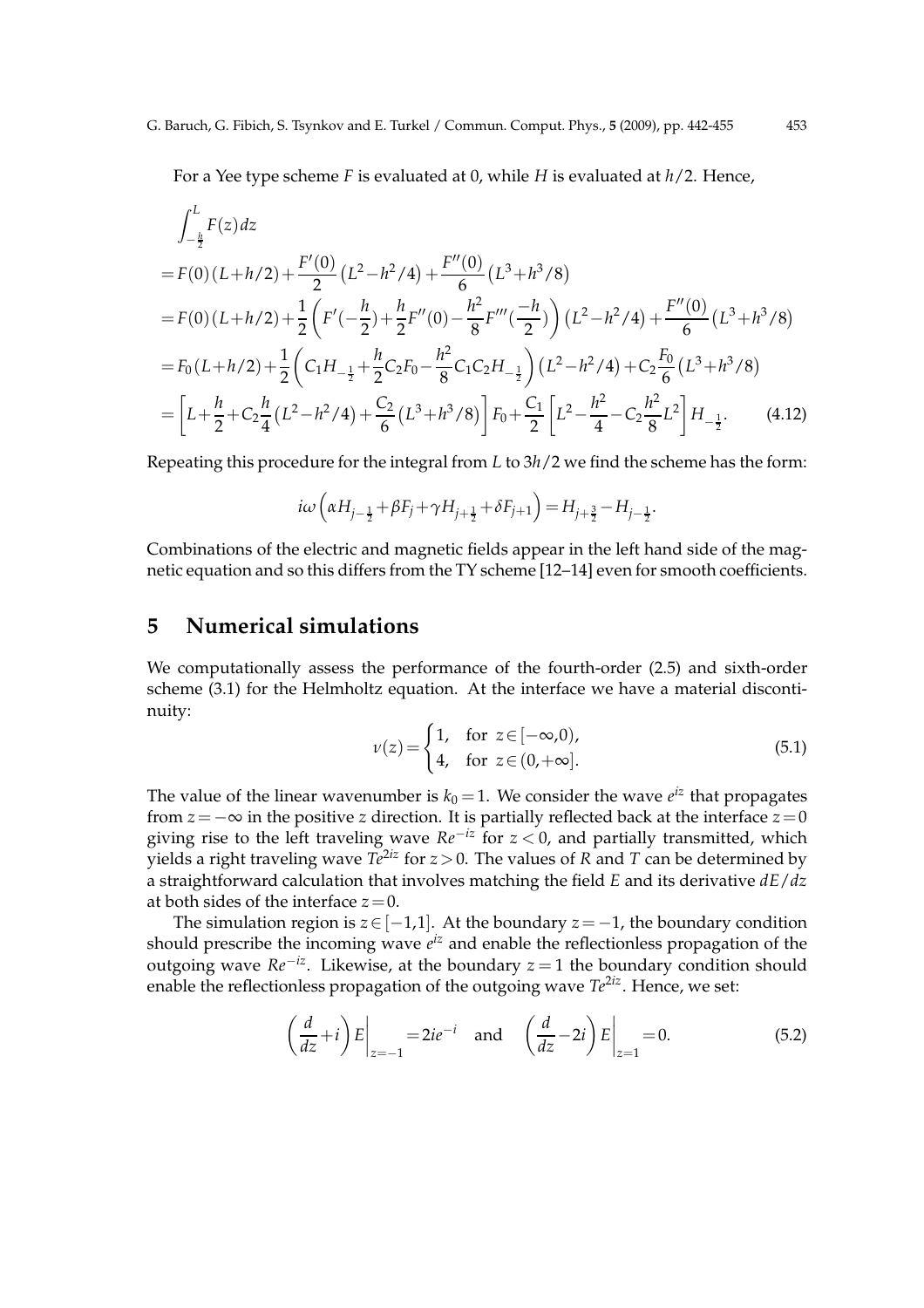For a Yee type scheme *F* is evaluated at 0, while *H* is evaluated at *h*/2. Hence,

$$
\int_{-\frac{h}{2}}^{L} F(z) dz
$$
\n=  $F(0)(L+h/2) + \frac{F'(0)}{2} (L^2 - h^2/4) + \frac{F''(0)}{6} (L^3 + h^3/8)$   
\n=  $F(0)(L+h/2) + \frac{1}{2} \left( F'(-\frac{h}{2}) + \frac{h}{2} F''(0) - \frac{h^2}{8} F'''(-\frac{h}{2}) \right) (L^2 - h^2/4) + \frac{F''(0)}{6} (L^3 + h^3/8)$   
\n=  $F_0(L+h/2) + \frac{1}{2} \left( C_1 H_{-\frac{1}{2}} + \frac{h}{2} C_2 F_0 - \frac{h^2}{8} C_1 C_2 H_{-\frac{1}{2}} \right) (L^2 - h^2/4) + C_2 \frac{F_0}{6} (L^3 + h^3/8)$   
\n=  $\left[ L + \frac{h}{2} + C_2 \frac{h}{4} (L^2 - h^2/4) + \frac{C_2}{6} (L^3 + h^3/8) \right] F_0 + \frac{C_1}{2} \left[ L^2 - \frac{h^2}{4} - C_2 \frac{h^2}{8} L^2 \right] H_{-\frac{1}{2}}.$  (4.12)

Repeating this procedure for the integral from *L* to 3*h*/2 we find the scheme has the form:

$$
i\omega\left(\alpha H_{j-\frac{1}{2}} + \beta F_j + \gamma H_{j+\frac{1}{2}} + \delta F_{j+1}\right) = H_{j+\frac{3}{2}} - H_{j-\frac{1}{2}}.
$$

Combinations of the electric and magnetic fields appear in the left hand side of the magnetic equation and so this differs from the TY scheme [12–14] even for smooth coefficients.

# **5 Numerical simulations**

We computationally assess the performance of the fourth-order (2.5) and sixth-order scheme (3.1) for the Helmholtz equation. At the interface we have a material discontinuity:

$$
\nu(z) = \begin{cases} 1, & \text{for } z \in [-\infty, 0), \\ 4, & \text{for } z \in (0, +\infty]. \end{cases} \tag{5.1}
$$

The value of the linear wavenumber is  $k_0$  = 1. We consider the wave  $e^{iz}$  that propagates from  $z=-\infty$  in the positive *z* direction. It is partially reflected back at the interface  $z=0$ giving rise to the left traveling wave *Re*−*iz* for *z* < 0, and partially transmitted, which yields a right traveling wave  $Te^{2iz}$  for  $z > 0$ . The values of *R* and *T* can be determined by a straightforward calculation that involves matching the field *E* and its derivative *dE*/*dz* at both sides of the interface  $z=0$ .

The simulation region is  $z \in [-1,1]$ . At the boundary  $z = -1$ , the boundary condition should prescribe the incoming wave *e iz* and enable the reflectionless propagation of the outgoing wave  $Re^{-iz}$ . Likewise, at the boundary  $z = 1$  the boundary condition should enable the reflectionless propagation of the outgoing wave *Te*<sup>2*iz*</sup>. Hence, we set:

$$
\left(\frac{d}{dz} + i\right) E\Big|_{z=-1} = 2ie^{-i} \quad \text{and} \quad \left(\frac{d}{dz} - 2i\right) E\Big|_{z=1} = 0. \tag{5.2}
$$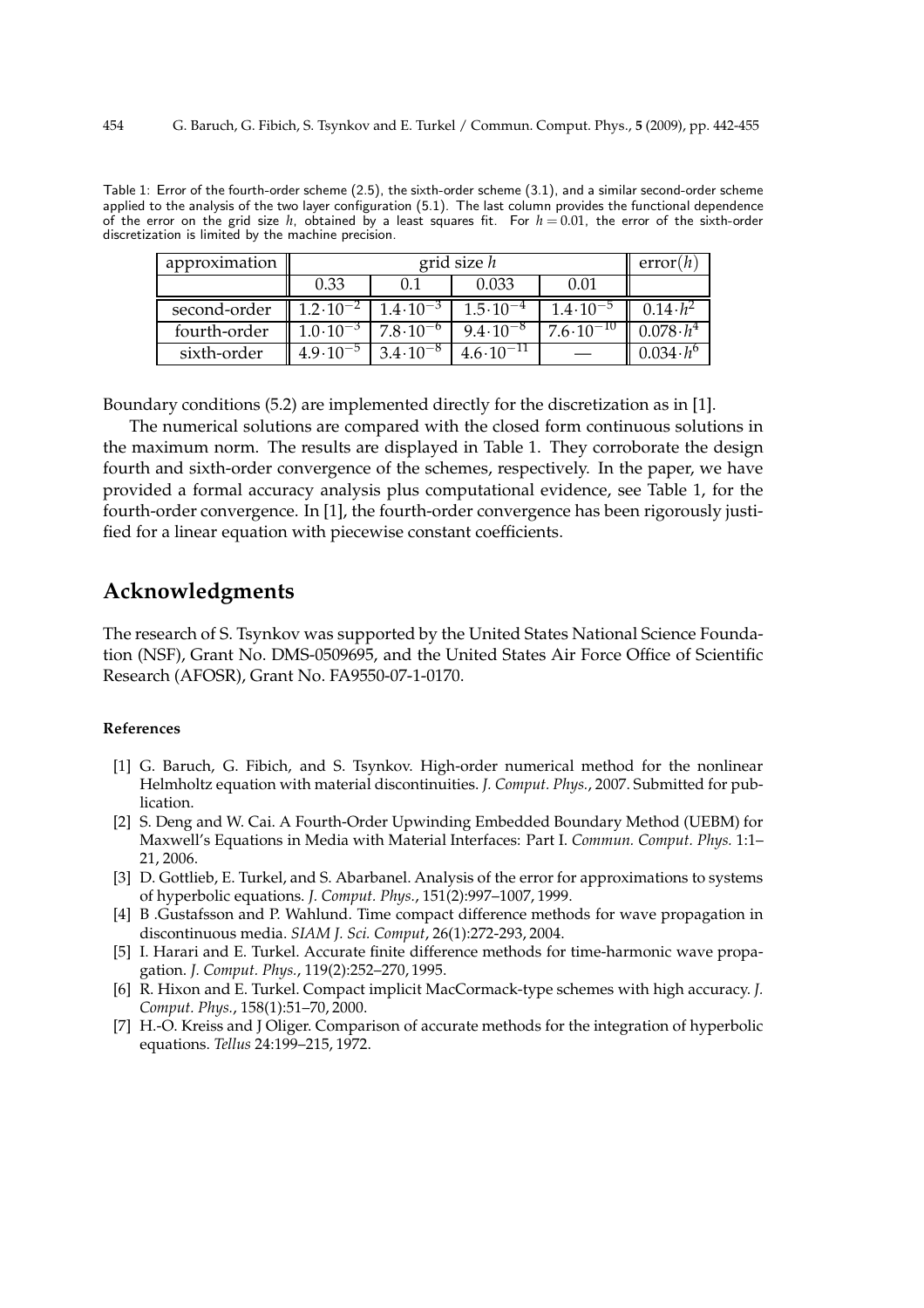Table 1: Error of the fourth-order scheme (2.5), the sixth-order scheme (3.1), and a similar second-order scheme applied to the analysis of the two layer configuration (5.1). The last column provides the functional dependence of the error on the grid size  $h$ , obtained by a least squares fit. For  $h = 0.01$ , the error of the sixth-order discretization is limited by the machine precision.

| approximation | grid size h         |                     |                      |                      | error(h             |
|---------------|---------------------|---------------------|----------------------|----------------------|---------------------|
|               | 0.33                | 0.1                 | 0.033                | 0.01                 |                     |
| second-order  | $1.2 \cdot 10^{-2}$ | $1.4 \cdot 10^{-3}$ | $1.5 \cdot 10^{-4}$  | $1.4 \cdot 10^{-5}$  | $0.14 \cdot h^2$    |
| fourth-order  | $1.0 \cdot 10^{-3}$ | $7.8 \cdot 10^{-6}$ | $9.4 \cdot 10^{-8}$  | $7.6 \cdot 10^{-10}$ | $0.078 \cdot h^4$   |
| sixth-order   | $4.9 \cdot 10^{-5}$ | $3.4 \cdot 10^{-8}$ | $4.6 \cdot 10^{-11}$ |                      | $0.034 \cdot h^{6}$ |

Boundary conditions (5.2) are implemented directly for the discretization as in [1].

The numerical solutions are compared with the closed form continuous solutions in the maximum norm. The results are displayed in Table 1. They corroborate the design fourth and sixth-order convergence of the schemes, respectively. In the paper, we have provided a formal accuracy analysis plus computational evidence, see Table 1, for the fourth-order convergence. In [1], the fourth-order convergence has been rigorously justified for a linear equation with piecewise constant coefficients.

# **Acknowledgments**

The research of S. Tsynkov was supported by the United States National Science Foundation (NSF), Grant No. DMS-0509695, and the United States Air Force Office of Scientific Research (AFOSR), Grant No. FA9550-07-1-0170.

### **References**

- [1] G. Baruch, G. Fibich, and S. Tsynkov. High-order numerical method for the nonlinear Helmholtz equation with material discontinuities. *J. Comput. Phys.*, 2007. Submitted for publication.
- [2] S. Deng and W. Cai. A Fourth-Order Upwinding Embedded Boundary Method (UEBM) for Maxwell's Equations in Media with Material Interfaces: Part I. *Commun. Comput. Phys.* 1:1– 21, 2006.
- [3] D. Gottlieb, E. Turkel, and S. Abarbanel. Analysis of the error for approximations to systems of hyperbolic equations. *J. Comput. Phys.*, 151(2):997–1007, 1999.
- [4] B .Gustafsson and P. Wahlund. Time compact difference methods for wave propagation in discontinuous media. *SIAM J. Sci. Comput*, 26(1):272-293, 2004.
- [5] I. Harari and E. Turkel. Accurate finite difference methods for time-harmonic wave propagation. *J. Comput. Phys.*, 119(2):252–270, 1995.
- [6] R. Hixon and E. Turkel. Compact implicit MacCormack-type schemes with high accuracy. *J. Comput. Phys.*, 158(1):51–70, 2000.
- [7] H.-O. Kreiss and J Oliger. Comparison of accurate methods for the integration of hyperbolic equations. *Tellus* 24:199–215, 1972.